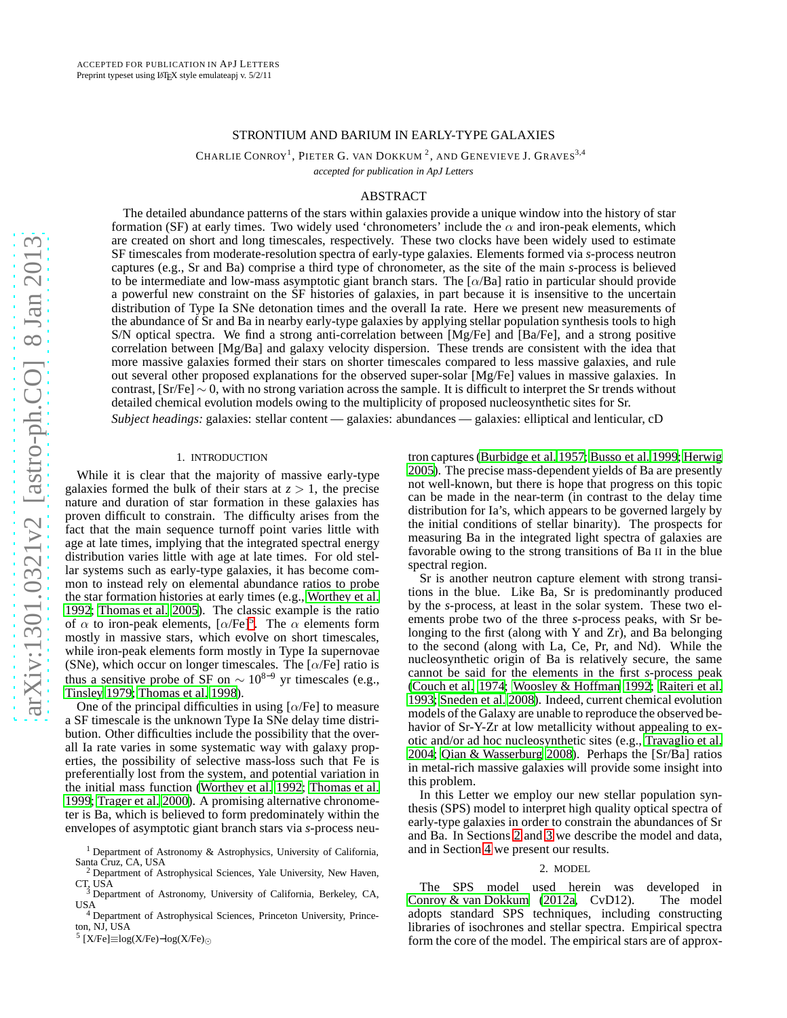# STRONTIUM AND BARIUM IN EARLY-TYPE GALAXIES

CHARLIE CONROY<sup>1</sup>, PIETER G. VAN DOKKUM <sup>2</sup>, AND GENEVIEVE J. GRAVES<sup>3,4</sup>

*accepted for publication in ApJ Letters*

# ABSTRACT

The detailed abundance patterns of the stars within galaxies provide a unique window into the history of star formation (SF) at early times. Two widely used 'chronometers' include the  $\alpha$  and iron-peak elements, which are created on short and long timescales, respectively. These two clocks have been widely used to estimate SF timescales from moderate-resolution spectra of early-type galaxies. Elements formed via *s*-process neutron captures (e.g., Sr and Ba) comprise a third type of chronometer, as the site of the main *s*-process is believed to be intermediate and low-mass asymptotic giant branch stars. The  $\alpha/Ba$  ratio in particular should provide a powerful new constraint on the SF histories of galaxies, in part because it is insensitive to the uncertain distribution of Type Ia SNe detonation times and the overall Ia rate. Here we present new measurements of the abundance of Sr and Ba in nearby early-type galaxies by applying stellar population synthesis tools to high S/N optical spectra. We find a strong anti-correlation between [Mg/Fe] and [Ba/Fe], and a strong positive correlation between [Mg/Ba] and galaxy velocity dispersion. These trends are consistent with the idea that more massive galaxies formed their stars on shorter timescales compared to less massive galaxies, and rule out several other proposed explanations for the observed super-solar [Mg/Fe] values in massive galaxies. In contrast, [Sr/Fe] ∼ 0, with no strong variation across the sample. It is difficult to interpret the Sr trends without detailed chemical evolution models owing to the multiplicity of proposed nucleosynthetic sites for Sr.

*Subject headings:* galaxies: stellar content — galaxies: abundances — galaxies: elliptical and lenticular, cD

### 1. INTRODUCTION

While it is clear that the majority of massive early-type galaxies formed the bulk of their stars at  $z > 1$ , the precise nature and duration of star formation in these galaxies has proven difficult to constrain. The difficulty arises from the fact that the main sequence turnoff point varies little with age at late times, implying that the integrated spectral energy distribution varies little with age at late times. For old stellar systems such as early-type galaxies, it has become common to instead rely on elemental abundance ratios to probe the star formation histories at early times (e.g., [Worthey et al.](#page-4-0) [1992;](#page-4-0) [Thomas et al. 2005](#page-4-1)). The classic example is the ratio of  $\alpha$  to iron-peak elements,  $[\alpha/\text{Fe}]^5$  $[\alpha/\text{Fe}]^5$ . The  $\alpha$  elements form mostly in massive stars, which evolve on short timescales, while iron-peak elements form mostly in Type Ia supernovae (SNe), which occur on longer timescales. The  $[\alpha/Fe]$  ratio is thus a sensitive probe of SF on  $\sim 10^{8-9}$  yr timescales (e.g., [Tinsley 1979;](#page-4-2) [Thomas et al. 1998](#page-4-3)).

One of the principal difficulties in using  $\lceil \alpha/\text{Fe} \rceil$  to measure a SF timescale is the unknown Type Ia SNe delay time distribution. Other difficulties include the possibility that the overall Ia rate varies in some systematic way with galaxy properties, the possibility of selective mass-loss such that Fe is preferentially lost from the system, and potential variation in the initial mass function [\(Worthey et al. 1992](#page-4-0); [Thomas et al.](#page-4-4) [1999;](#page-4-4) [Trager et al. 2000\)](#page-4-5). A promising alternative chronometer is Ba, which is believed to form predominately within the envelopes of asymptotic giant branch stars via *s*-process neutron captures [\(Burbidge et al. 1957;](#page-4-6) [Busso et al. 1999;](#page-4-7) [Herwig](#page-4-8) [2005\)](#page-4-8). The precise mass-dependent yields of Ba are presently not well-known, but there is hope that progress on this topic can be made in the near-term (in contrast to the delay time distribution for Ia's, which appears to be governed largely by the initial conditions of stellar binarity). The prospects for measuring Ba in the integrated light spectra of galaxies are favorable owing to the strong transitions of Ba II in the blue spectral region.

Sr is another neutron capture element with strong transitions in the blue. Like Ba, Sr is predominantly produced by the *s*-process, at least in the solar system. These two elements probe two of the three *s*-process peaks, with Sr belonging to the first (along with Y and Zr), and Ba belonging to the second (along with La, Ce, Pr, and Nd). While the nucleosynthetic origin of Ba is relatively secure, the same cannot be said for the elements in the first *s*-process peak [\(Couch et al. 1974;](#page-4-9) [Woosley & Hoffman 1992;](#page-4-10) [Raiteri et al.](#page-4-11) [1993;](#page-4-11) [Sneden et al. 2008\)](#page-4-12). Indeed, current chemical evolution models of the Galaxy are unable to reproduce the observed behavior of Sr-Y-Zr at low metallicity without appealing to exotic and/or ad hoc nucleosynthetic sites (e.g., [Travaglio et al.](#page-4-13) [2004;](#page-4-13) [Qian & Wasserburg 2008\)](#page-4-14). Perhaps the [Sr/Ba] ratios in metal-rich massive galaxies will provide some insight into this problem.

In this Letter we employ our new stellar population synthesis (SPS) model to interpret high quality optical spectra of early-type galaxies in order to constrain the abundances of Sr and Ba. In Sections [2](#page-0-1) and [3](#page-1-0) we describe the model and data, and in Section [4](#page-2-0) we present our results.

#### 2. MODEL

<span id="page-0-1"></span>The SPS model used herein was developed in [Conroy & van Dokkum \(2012a,](#page-4-15) CvD12). The model adopts standard SPS techniques, including constructing libraries of isochrones and stellar spectra. Empirical spectra form the core of the model. The empirical stars are of approx-

<sup>&</sup>lt;sup>1</sup> Department of Astronomy & Astrophysics, University of California, Santa Cruz, CA, USA

<sup>&</sup>lt;sup>2</sup> Department of Astrophysical Sciences, Yale University, New Haven, CT, USA <sup>3</sup> Department of Astronomy, University of California, Berkeley, CA,

USA

<sup>4</sup> Department of Astrophysical Sciences, Princeton University, Princeton, NJ, USA

<span id="page-0-0"></span><sup>5</sup> [X/Fe]≡log(X/Fe)−log(X/Fe)<sup>⊙</sup>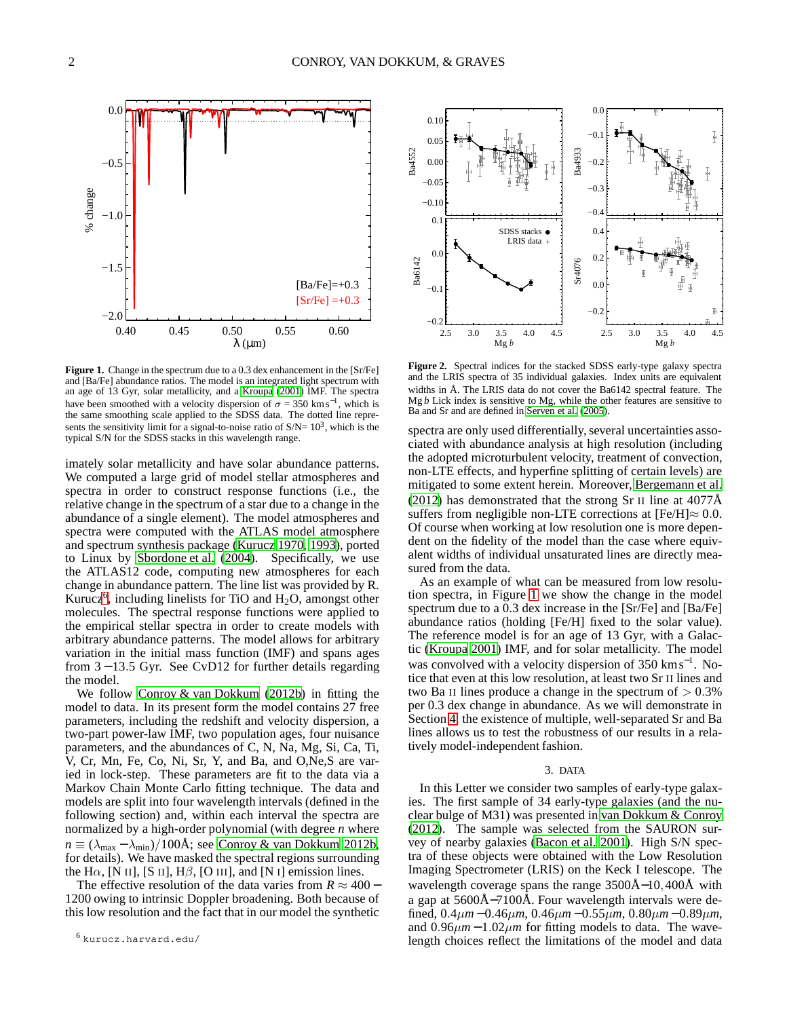

<span id="page-1-2"></span>**Figure 1.** Change in the spectrum due to a 0.3 dex enhancement in the [Sr/Fe] and [Ba/Fe] abundance ratios. The model is an integrated light spectrum with an age of 13 Gyr, solar metallicity, and a [Kroupa \(2001\)](#page-4-16) IMF. The spectra have been smoothed with a velocity dispersion of  $\sigma = 350 \text{ km s}^{-1}$ , which is the same smoothing scale applied to the SDSS data. The dotted line represents the sensitivity limit for a signal-to-noise ratio of  $S/N = 10<sup>3</sup>$ , which is the typical S/N for the SDSS stacks in this wavelength range.

imately solar metallicity and have solar abundance patterns. We computed a large grid of model stellar atmospheres and spectra in order to construct response functions (i.e., the relative change in the spectrum of a star due to a change in the abundance of a single element). The model atmospheres and spectra were computed with the ATLAS model atmosphere and spectrum synthesis package [\(Kurucz 1970](#page-4-17), [1993](#page-4-18)), ported to Linux by [Sbordone et al. \(2004\)](#page-4-19). Specifically, we use the ATLAS12 code, computing new atmospheres for each change in abundance pattern. The line list was provided by R. Kurucz<sup>[6](#page-1-1)</sup>, including linelists for TiO and  $H_2O$ , amongst other molecules. The spectral response functions were applied to the empirical stellar spectra in order to create models with arbitrary abundance patterns. The model allows for arbitrary variation in the initial mass function (IMF) and spans ages from 3 − 13.5 Gyr. See CvD12 for further details regarding the model.

We follow [Conroy & van Dokkum](#page-4-20) [\(2012b\)](#page-4-20) in fitting the model to data. In its present form the model contains 27 free parameters, including the redshift and velocity dispersion, a two-part power-law IMF, two population ages, four nuisance parameters, and the abundances of C, N, Na, Mg, Si, Ca, Ti, V, Cr, Mn, Fe, Co, Ni, Sr, Y, and Ba, and O,Ne,S are varied in lock-step. These parameters are fit to the data via a Markov Chain Monte Carlo fitting technique. The data and models are split into four wavelength intervals (defined in the following section) and, within each interval the spectra are normalized by a high-order polynomial (with degree *n* where  $n \equiv (\lambda_{\text{max}} - \lambda_{\text{min}})/100\text{\AA}$ ; see [Conroy & van Dokkum 2012b,](#page-4-20) for details). We have masked the spectral regions surrounding the H $\alpha$ , [N II], [S II], H $\beta$ , [O III], and [N I] emission lines.

The effective resolution of the data varies from  $R \approx 400 -$ 1200 owing to intrinsic Doppler broadening. Both because of this low resolution and the fact that in our model the synthetic



<span id="page-1-3"></span>**Figure 2.** Spectral indices for the stacked SDSS early-type galaxy spectra and the LRIS spectra of 35 individual galaxies. Index units are equivalent widths in Å. The LRIS data do not cover the Ba6142 spectral feature. The Mg *b* Lick index is sensitive to Mg, while the other features are sensitive to Ba and Sr and are defined in [Serven et al. \(2005\)](#page-4-21).

spectra are only used differentially, several uncertainties associated with abundance analysis at high resolution (including the adopted microturbulent velocity, treatment of convection, non-LTE effects, and hyperfine splitting of certain levels) are mitigated to some extent herein. Moreover, [Bergemann et al.](#page-4-22) [\(2012\)](#page-4-22) has demonstrated that the strong Sr II line at  $4077\text{\AA}$ suffers from negligible non-LTE corrections at  $[Fe/H] \approx 0.0$ . Of course when working at low resolution one is more dependent on the fidelity of the model than the case where equivalent widths of individual unsaturated lines are directly measured from the data.

As an example of what can be measured from low resolution spectra, in Figure [1](#page-1-2) we show the change in the model spectrum due to a 0.3 dex increase in the [Sr/Fe] and [Ba/Fe] abundance ratios (holding [Fe/H] fixed to the solar value). The reference model is for an age of 13 Gyr, with a Galactic [\(Kroupa 2001\)](#page-4-16) IMF, and for solar metallicity. The model was convolved with a velocity dispersion of 350 kms<sup>-1</sup>. Notice that even at this low resolution, at least two Sr II lines and two Ba II lines produce a change in the spectrum of  $> 0.3\%$ per 0.3 dex change in abundance. As we will demonstrate in Section [4,](#page-2-0) the existence of multiple, well-separated Sr and Ba lines allows us to test the robustness of our results in a relatively model-independent fashion.

# 3. DATA

<span id="page-1-0"></span>In this Letter we consider two samples of early-type galaxies. The first sample of 34 early-type galaxies (and the nuclear bulge of M31) was presented in [van Dokkum & Conroy](#page-4-23) [\(2012\)](#page-4-23). The sample was selected from the SAURON survey of nearby galaxies [\(Bacon et al. 2001](#page-4-24)). High S/N spectra of these objects were obtained with the Low Resolution Imaging Spectrometer (LRIS) on the Keck I telescope. The wavelength coverage spans the range 3500Å−10,400Å with a gap at 5600Å−7100Å. Four wavelength intervals were defined, 0.4µ*m* − 0.46µ*m*, 0.46µ*m* − 0.55µ*m*, 0.80µ*m* − 0.89µ*m*, and  $0.96 \mu m - 1.02 \mu m$  for fitting models to data. The wavelength choices reflect the limitations of the model and data

<span id="page-1-1"></span><sup>6</sup> kurucz.harvard.edu/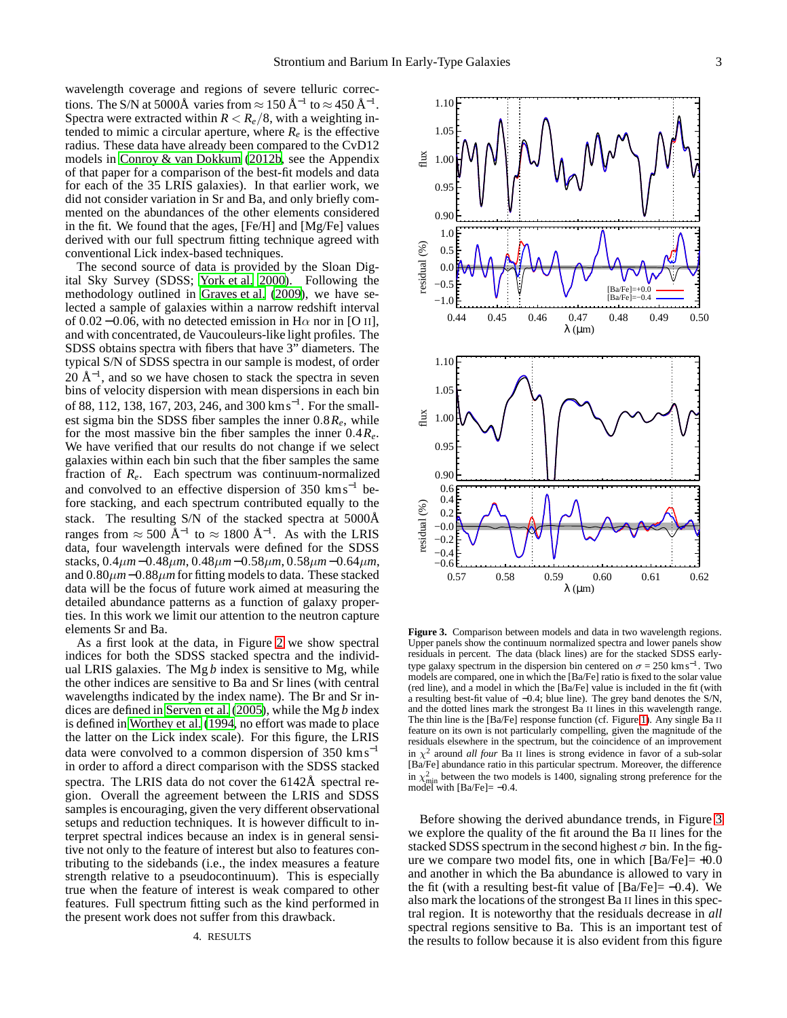wavelength coverage and regions of severe telluric corrections. The S/N at 5000Å varies from  $\approx 150 \,\text{\AA}^{-1}$  to  $\approx 450 \,\text{\AA}^{-1}$ . Spectra were extracted within  $R < R_e/8$ , with a weighting intended to mimic a circular aperture, where  $R_e$  is the effective radius. These data have already been compared to the CvD12 models in [Conroy & van Dokkum \(2012b,](#page-4-20) see the Appendix of that paper for a comparison of the best-fit models and data for each of the 35 LRIS galaxies). In that earlier work, we did not consider variation in Sr and Ba, and only briefly commented on the abundances of the other elements considered in the fit. We found that the ages, [Fe/H] and [Mg/Fe] values derived with our full spectrum fitting technique agreed with conventional Lick index-based techniques.

The second source of data is provided by the Sloan Digital Sky Survey (SDSS; [York et al. 2000\)](#page-4-25). Following the methodology outlined in [Graves et al. \(2009](#page-4-26)), we have selected a sample of galaxies within a narrow redshift interval of 0.02 – 0.06, with no detected emission in H $\alpha$  nor in [O II], and with concentrated, de Vaucouleurs-like light profiles. The SDSS obtains spectra with fibers that have 3" diameters. The typical S/N of SDSS spectra in our sample is modest, of order  $20 \text{ Å}^{-1}$ , and so we have chosen to stack the spectra in seven bins of velocity dispersion with mean dispersions in each bin of 88, 112, 138, 167, 203, 246, and 300 km s<sup>-1</sup>. For the smallest sigma bin the SDSS fiber samples the inner  $0.8R<sub>e</sub>$ , while for the most massive bin the fiber samples the inner 0.4*Re*. We have verified that our results do not change if we select galaxies within each bin such that the fiber samples the same fraction of *Re*. Each spectrum was continuum-normalized and convolved to an effective dispersion of  $350 \text{ km s}^{-1}$  before stacking, and each spectrum contributed equally to the stack. The resulting S/N of the stacked spectra at 5000Å ranges from  $\approx 500 \text{ Å}^{-1}$  to  $\approx 1800 \text{ Å}^{-1}$ . As with the LRIS data, four wavelength intervals were defined for the SDSS stacks, 0.4µ*m*−0.48µ*m*, 0.48µ*m*−0.58µ*m*, 0.58µ*m*−0.64µ*m*, and 0.80µ*m*−0.88µ*m* for fitting models to data. These stacked data will be the focus of future work aimed at measuring the detailed abundance patterns as a function of galaxy properties. In this work we limit our attention to the neutron capture elements Sr and Ba.

<span id="page-2-0"></span>As a first look at the data, in Figure [2](#page-1-3) we show spectral indices for both the SDSS stacked spectra and the individual LRIS galaxies. The Mg *b* index is sensitive to Mg, while the other indices are sensitive to Ba and Sr lines (with central wavelengths indicated by the index name). The Br and Sr indices are defined in [Serven et al. \(2005\)](#page-4-21), while the Mg *b* index is defined in [Worthey et al. \(1994](#page-4-27), no effort was made to place the latter on the Lick index scale). For this figure, the LRIS data were convolved to a common dispersion of  $350 \text{ km s}^{-1}$ in order to afford a direct comparison with the SDSS stacked spectra. The LRIS data do not cover the 6142Å spectral region. Overall the agreement between the LRIS and SDSS samples is encouraging, given the very different observational setups and reduction techniques. It is however difficult to interpret spectral indices because an index is in general sensitive not only to the feature of interest but also to features contributing to the sidebands (i.e., the index measures a feature strength relative to a pseudocontinuum). This is especially true when the feature of interest is weak compared to other features. Full spectrum fitting such as the kind performed in the present work does not suffer from this drawback.



<span id="page-2-1"></span>**Figure 3.** Comparison between models and data in two wavelength regions. Upper panels show the continuum normalized spectra and lower panels show residuals in percent. The data (black lines) are for the stacked SDSS earlytype galaxy spectrum in the dispersion bin centered on  $\sigma = 250 \text{ km s}^{-1}$ . Two models are compared, one in which the [Ba/Fe] ratio is fixed to the solar value (red line), and a model in which the [Ba/Fe] value is included in the fit (with a resulting best-fit value of −0.4; blue line). The grey band denotes the S/N, and the dotted lines mark the strongest Ba II lines in this wavelength range. The thin line is the [Ba/Fe] response function (cf. Figure [1\)](#page-1-2). Any single Ba II feature on its own is not particularly compelling, given the magnitude of the residuals elsewhere in the spectrum, but the coincidence of an improvement in  $\chi^2$  around *all four* Ba II lines is strong evidence in favor of a sub-solar [Ba/Fe] abundance ratio in this particular spectrum. Moreover, the difference in  $\chi^2_{\text{min}}$  between the two models is 1400, signaling strong preference for the model with [Ba/Fe]= –0.4.

Before showing the derived abundance trends, in Figure [3](#page-2-1) we explore the quality of the fit around the Ba II lines for the stacked SDSS spectrum in the second highest  $\sigma$  bin. In the figure we compare two model fits, one in which  $[Ba/Fe] = +0.0$ and another in which the Ba abundance is allowed to vary in the fit (with a resulting best-fit value of  $[Ba/Fe] = -0.4$ ). We also mark the locations of the strongest Ba II lines in this spectral region. It is noteworthy that the residuals decrease in *all* spectral regions sensitive to Ba. This is an important test of the results to follow because it is also evident from this figure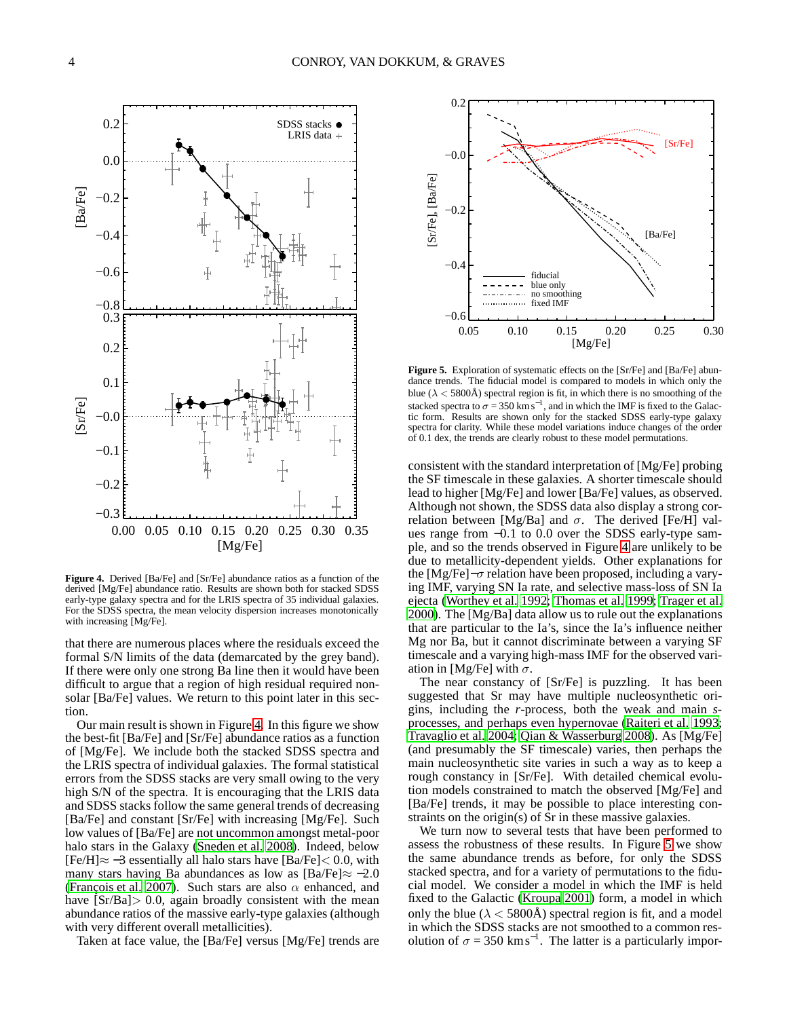

<span id="page-3-0"></span>**Figure 4.** Derived [Ba/Fe] and [Sr/Fe] abundance ratios as a function of the derived [Mg/Fe] abundance ratio. Results are shown both for stacked SDSS early-type galaxy spectra and for the LRIS spectra of 35 individual galaxies. For the SDSS spectra, the mean velocity dispersion increases monotonically with increasing [Mg/Fe].

that there are numerous places where the residuals exceed the formal S/N limits of the data (demarcated by the grey band). If there were only one strong Ba line then it would have been difficult to argue that a region of high residual required nonsolar [Ba/Fe] values. We return to this point later in this section.

Our main result is shown in Figure [4.](#page-3-0) In this figure we show the best-fit [Ba/Fe] and [Sr/Fe] abundance ratios as a function of [Mg/Fe]. We include both the stacked SDSS spectra and the LRIS spectra of individual galaxies. The formal statistical errors from the SDSS stacks are very small owing to the very high S/N of the spectra. It is encouraging that the LRIS data and SDSS stacks follow the same general trends of decreasing [Ba/Fe] and constant [Sr/Fe] with increasing [Mg/Fe]. Such low values of [Ba/Fe] are not uncommon amongst metal-poor halo stars in the Galaxy [\(Sneden et al. 2008\)](#page-4-12). Indeed, below  $[Fe/H] \approx -3$  essentially all halo stars have  $[Ba/Fe] < 0.0$ , with many stars having Ba abundances as low as  $[Ba/Fe] \approx -2.0$ [\(François et al. 2007\)](#page-4-28). Such stars are also  $\alpha$  enhanced, and have  $[Sr/Ba] > 0.0$ , again broadly consistent with the mean abundance ratios of the massive early-type galaxies (although with very different overall metallicities).

Taken at face value, the [Ba/Fe] versus [Mg/Fe] trends are



<span id="page-3-1"></span>**Figure 5.** Exploration of systematic effects on the [Sr/Fe] and [Ba/Fe] abundance trends. The fiducial model is compared to models in which only the blue ( $\lambda$  < 5800Å) spectral region is fit, in which there is no smoothing of the stacked spectra to  $\sigma = 350 \text{ km s}^{-1}$ , and in which the IMF is fixed to the Galactic form. Results are shown only for the stacked SDSS early-type galaxy spectra for clarity. While these model variations induce changes of the order of 0.1 dex, the trends are clearly robust to these model permutations.

consistent with the standard interpretation of [Mg/Fe] probing the SF timescale in these galaxies. A shorter timescale should lead to higher [Mg/Fe] and lower [Ba/Fe] values, as observed. Although not shown, the SDSS data also display a strong correlation between [Mg/Ba] and  $\sigma$ . The derived [Fe/H] values range from −0.1 to 0.0 over the SDSS early-type sample, and so the trends observed in Figure [4](#page-3-0) are unlikely to be due to metallicity-dependent yields. Other explanations for the [Mg/Fe] $-\sigma$  relation have been proposed, including a varying IMF, varying SN Ia rate, and selective mass-loss of SN Ia ejecta [\(Worthey et al. 1992;](#page-4-0) [Thomas et al. 1999](#page-4-4); [Trager et al.](#page-4-5) [2000\)](#page-4-5). The [Mg/Ba] data allow us to rule out the explanations that are particular to the Ia's, since the Ia's influence neither Mg nor Ba, but it cannot discriminate between a varying SF timescale and a varying high-mass IMF for the observed variation in [Mg/Fe] with  $\sigma$ .

The near constancy of [Sr/Fe] is puzzling. It has been suggested that Sr may have multiple nucleosynthetic origins, including the *r*-process, both the weak and main *s*processes, and perhaps even hypernovae [\(Raiteri et al. 1993](#page-4-11); [Travaglio et al. 2004;](#page-4-13) [Qian & Wasserburg 2008](#page-4-14)). As [Mg/Fe] (and presumably the SF timescale) varies, then perhaps the main nucleosynthetic site varies in such a way as to keep a rough constancy in [Sr/Fe]. With detailed chemical evolution models constrained to match the observed [Mg/Fe] and [Ba/Fe] trends, it may be possible to place interesting constraints on the origin(s) of Sr in these massive galaxies.

We turn now to several tests that have been performed to assess the robustness of these results. In Figure [5](#page-3-1) we show the same abundance trends as before, for only the SDSS stacked spectra, and for a variety of permutations to the fiducial model. We consider a model in which the IMF is held fixed to the Galactic [\(Kroupa 2001\)](#page-4-16) form, a model in which only the blue ( $\lambda$  < 5800Å) spectral region is fit, and a model in which the SDSS stacks are not smoothed to a common resolution of  $\sigma = 350 \text{ km s}^{-1}$ . The latter is a particularly impor